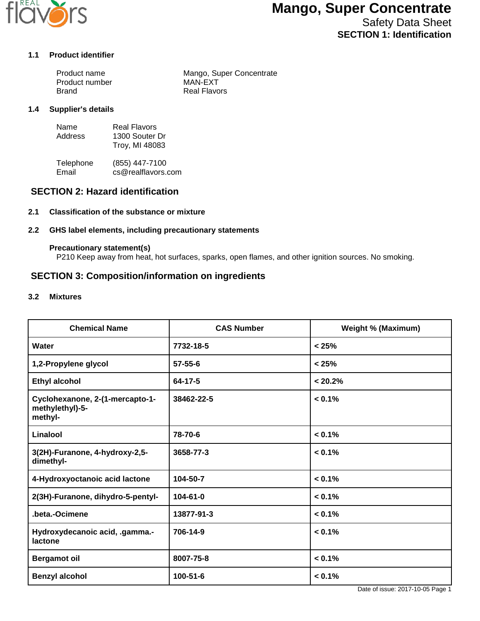

Safety Data Sheet **SECTION 1: Identification**

#### **1.1 Product identifier**

| Product name   | Mango, Super Concentrate |
|----------------|--------------------------|
| Product number | MAN-EXT                  |
| Brand          | Real Flavors             |

#### **1.4 Supplier's details**

| Name    | Real Flavors   |
|---------|----------------|
| Address | 1300 Souter Dr |
|         | Troy, MI 48083 |

Telephone (855) 447-7100<br>Email cs@realflavors. cs@realflavors.com

### **SECTION 2: Hazard identification**

#### **2.1 Classification of the substance or mixture**

#### **2.2 GHS label elements, including precautionary statements**

#### **Precautionary statement(s)**

P210 Keep away from heat, hot surfaces, sparks, open flames, and other ignition sources. No smoking.

#### **SECTION 3: Composition/information on ingredients**

#### **3.2 Mixtures**

| <b>Chemical Name</b>                                          | <b>CAS Number</b> | <b>Weight % (Maximum)</b> |
|---------------------------------------------------------------|-------------------|---------------------------|
| Water                                                         | 7732-18-5         | < 25%                     |
| 1,2-Propylene glycol                                          | $57 - 55 - 6$     | < 25%                     |
| <b>Ethyl alcohol</b>                                          | 64-17-5           | < 20.2%                   |
| Cyclohexanone, 2-(1-mercapto-1-<br>methylethyl)-5-<br>methyl- | 38462-22-5        | $< 0.1\%$                 |
| Linalool                                                      | 78-70-6           | $< 0.1\%$                 |
| 3(2H)-Furanone, 4-hydroxy-2,5-<br>dimethyl-                   | 3658-77-3         | $< 0.1\%$                 |
| 4-Hydroxyoctanoic acid lactone                                | 104-50-7          | $< 0.1\%$                 |
| 2(3H)-Furanone, dihydro-5-pentyl-                             | $104 - 61 - 0$    | $< 0.1\%$                 |
| .beta.-Ocimene                                                | 13877-91-3        | $< 0.1\%$                 |
| Hydroxydecanoic acid, .gamma .-<br>lactone                    | 706-14-9          | $< 0.1\%$                 |
| <b>Bergamot oil</b>                                           | 8007-75-8         | $< 0.1\%$                 |
| <b>Benzyl alcohol</b>                                         | 100-51-6          | $< 0.1\%$                 |

Date of issue: 2017-10-05 Page 1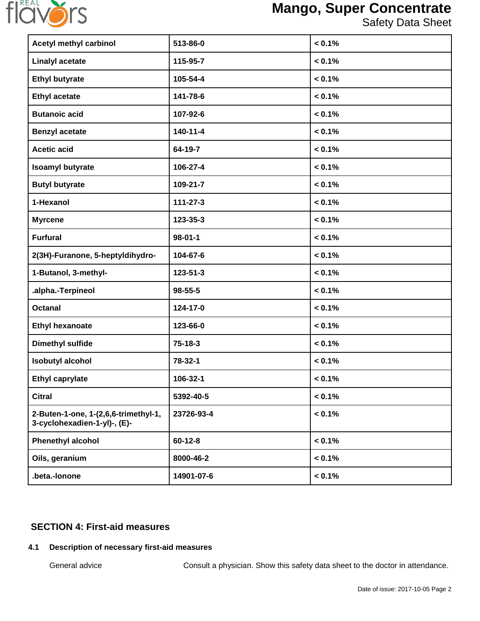

Safety Data Sheet

| <b>Acetyl methyl carbinol</b>                                        | 513-86-0       | $< 0.1\%$ |
|----------------------------------------------------------------------|----------------|-----------|
| <b>Linalyl acetate</b>                                               | 115-95-7       | < 0.1%    |
| <b>Ethyl butyrate</b>                                                | 105-54-4       | < 0.1%    |
| <b>Ethyl acetate</b>                                                 | 141-78-6       | < 0.1%    |
| <b>Butanoic acid</b>                                                 | 107-92-6       | $< 0.1\%$ |
| <b>Benzyl acetate</b>                                                | $140 - 11 - 4$ | $< 0.1\%$ |
| <b>Acetic acid</b>                                                   | 64-19-7        | $< 0.1\%$ |
| <b>Isoamyl butyrate</b>                                              | 106-27-4       | $< 0.1\%$ |
| <b>Butyl butyrate</b>                                                | 109-21-7       | $< 0.1\%$ |
| 1-Hexanol                                                            | 111-27-3       | < 0.1%    |
| <b>Myrcene</b>                                                       | 123-35-3       | $< 0.1\%$ |
| <b>Furfural</b>                                                      | $98 - 01 - 1$  | $< 0.1\%$ |
| 2(3H)-Furanone, 5-heptyldihydro-                                     | 104-67-6       | $< 0.1\%$ |
| 1-Butanol, 3-methyl-                                                 | 123-51-3       | $< 0.1\%$ |
| .alpha.-Terpineol                                                    | $98 - 55 - 5$  | $< 0.1\%$ |
| <b>Octanal</b>                                                       | 124-17-0       | $< 0.1\%$ |
| <b>Ethyl hexanoate</b>                                               | 123-66-0       | $< 0.1\%$ |
| <b>Dimethyl sulfide</b>                                              | $75 - 18 - 3$  | < 0.1%    |
| <b>Isobutyl alcohol</b>                                              | 78-32-1        | < 0.1%    |
| <b>Ethyl caprylate</b>                                               | 106-32-1       | $< 0.1\%$ |
| <b>Citral</b>                                                        | 5392-40-5      | $< 0.1\%$ |
| 2-Buten-1-one, 1-(2,6,6-trimethyl-1,<br>3-cyclohexadien-1-yl)-, (E)- | 23726-93-4     | < 0.1%    |
| <b>Phenethyl alcohol</b>                                             | $60 - 12 - 8$  | < 0.1%    |
| Oils, geranium                                                       | 8000-46-2      | $< 0.1\%$ |
| .beta.-lonone                                                        | 14901-07-6     | < 0.1%    |

## **SECTION 4: First-aid measures**

## **4.1 Description of necessary first-aid measures**

General advice **Consult a physician.** Show this safety data sheet to the doctor in attendance.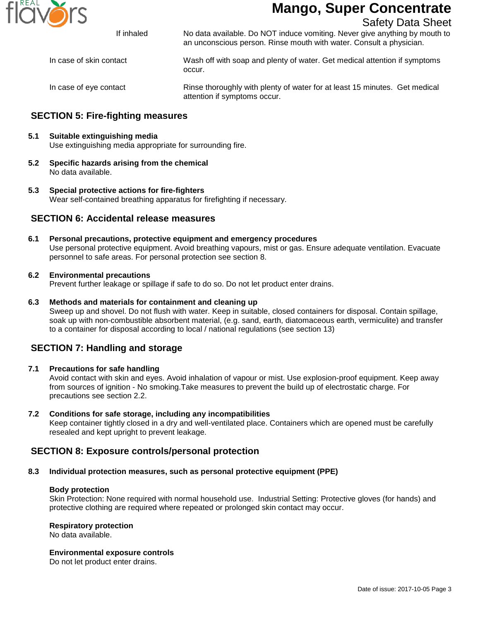

Safety Data Sheet

If inhaled No data available. Do NOT induce vomiting. Never give anything by mouth to

In case of skin contact Wash off with soap and plenty of water. Get medical attention if symptoms occur.

an unconscious person. Rinse mouth with water. Consult a physician.

In case of eye contact Rinse thoroughly with plenty of water for at least 15 minutes. Get medical attention if symptoms occur.

## **SECTION 5: Fire-fighting measures**

#### **5.1 Suitable extinguishing media**

Use extinguishing media appropriate for surrounding fire.

- **5.2 Specific hazards arising from the chemical** No data available.
- **5.3 Special protective actions for fire-fighters** Wear self-contained breathing apparatus for firefighting if necessary.

#### **SECTION 6: Accidental release measures**

**6.1 Personal precautions, protective equipment and emergency procedures** Use personal protective equipment. Avoid breathing vapours, mist or gas. Ensure adequate ventilation. Evacuate personnel to safe areas. For personal protection see section 8.

#### **6.2 Environmental precautions**

Prevent further leakage or spillage if safe to do so. Do not let product enter drains.

#### **6.3 Methods and materials for containment and cleaning up**

Sweep up and shovel. Do not flush with water. Keep in suitable, closed containers for disposal. Contain spillage, soak up with non-combustible absorbent material, (e.g. sand, earth, diatomaceous earth, vermiculite) and transfer to a container for disposal according to local / national regulations (see section 13)

## **SECTION 7: Handling and storage**

#### **7.1 Precautions for safe handling**

Avoid contact with skin and eyes. Avoid inhalation of vapour or mist. Use explosion-proof equipment. Keep away from sources of ignition - No smoking.Take measures to prevent the build up of electrostatic charge. For precautions see section 2.2.

#### **7.2 Conditions for safe storage, including any incompatibilities**

Keep container tightly closed in a dry and well-ventilated place. Containers which are opened must be carefully resealed and kept upright to prevent leakage.

### **SECTION 8: Exposure controls/personal protection**

#### **8.3 Individual protection measures, such as personal protective equipment (PPE)**

#### **Body protection**

Skin Protection: None required with normal household use. Industrial Setting: Protective gloves (for hands) and protective clothing are required where repeated or prolonged skin contact may occur.

#### **Respiratory protection**

No data available.

#### **Environmental exposure controls**

Do not let product enter drains.